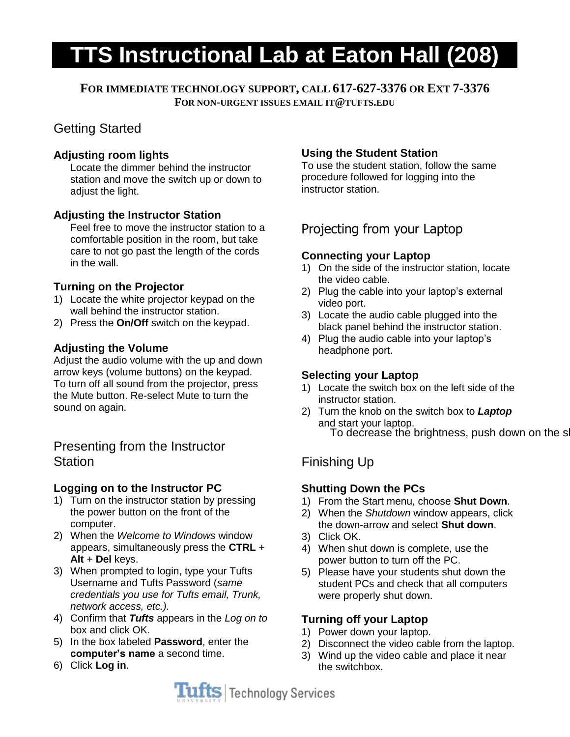# **TTS Instructional Lab at Eaton Hall (208)**

**FOR IMMEDIATE TECHNOLOGY SUPPORT, CALL 617-627-3376 OR EXT 7-3376 FOR NON-URGENT ISSUES EMAIL IT@TUFTS.EDU**

# Getting Started

### **Adjusting room lights**

Locate the dimmer behind the instructor station and move the switch up or down to adjust the light.

### **Adjusting the Instructor Station**

Feel free to move the instructor station to a comfortable position in the room, but take care to not go past the length of the cords in the wall.

### **Turning on the Projector**

- 1) Locate the white projector keypad on the wall behind the instructor station.
- 2) Press the **On/Off** switch on the keypad.

### **Adjusting the Volume**

Adjust the audio volume with the up and down arrow keys (volume buttons) on the keypad. To turn off all sound from the projector, press the Mute button. Re-select Mute to turn the sound on again.

## Presenting from the Instructor **Station**

### **Logging on to the Instructor PC**

- 1) Turn on the instructor station by pressing the power button on the front of the computer.
- 2) When the *Welcome to Windows* window appears, simultaneously press the **CTRL** + **Alt** + **Del** keys.
- 3) When prompted to login, type your Tufts Username and Tufts Password (*same credentials you use for Tufts email, Trunk, network access, etc.).*
- 4) Confirm that *Tufts* appears in the *Log on to*  box and click OK.
- 5) In the box labeled **Password**, enter the **computer's name** a second time.
- 6) Click **Log in**.

### **Using the Student Station**

To use the student station, follow the same procedure followed for logging into the instructor station.

# Projecting from your Laptop

#### **Connecting your Laptop**

- 1) On the side of the instructor station, locate the video cable.
- 2) Plug the cable into your laptop's external video port.
- 3) Locate the audio cable plugged into the black panel behind the instructor station.
- 4) Plug the audio cable into your laptop's headphone port.

### **Selecting your Laptop**

- 1) Locate the switch box on the left side of the instructor station.
- To decrease the brightness, push down on the s 2) Turn the knob on the switch box to *Laptop*  and start your laptop.

# Finishing Up

### **Shutting Down the PCs**

- 1) From the Start menu, choose **Shut Down**.
- 2) When the *Shutdown* window appears, click the down-arrow and select **Shut down**.
- 3) Click OK.
- 4) When shut down is complete, use the power button to turn off the PC.
- 5) Please have your students shut down the student PCs and check that all computers were properly shut down.

### **Turning off your Laptop**

- 1) Power down your laptop.
- 2) Disconnect the video cable from the laptop.
- 3) Wind up the video cable and place it near the switchbox.